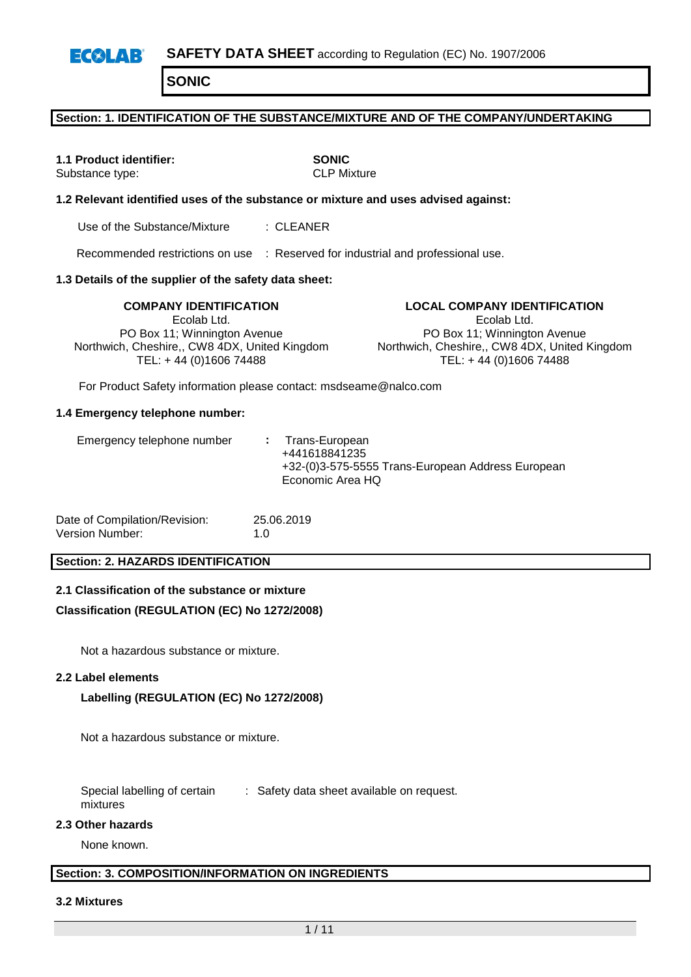### **Section: 1. IDENTIFICATION OF THE SUBSTANCE/MIXTURE AND OF THE COMPANY/UNDERTAKING**

**1.1 Product identifier: SONIC**<br>Substance type: **CLP** Mixture Substance type:

### **1.2 Relevant identified uses of the substance or mixture and uses advised against:**

Use of the Substance/Mixture : CLEANER

Recommended restrictions on use : Reserved for industrial and professional use.

### **1.3 Details of the supplier of the safety data sheet:**

Ecolab Ltd. PO Box 11; Winnington Avenue Northwich, Cheshire,, CW8 4DX, United Kingdom TEL: + 44 (0)1606 74488

**COMPANY IDENTIFICATION LOCAL COMPANY IDENTIFICATION** Ecolab Ltd. PO Box 11; Winnington Avenue Northwich, Cheshire,, CW8 4DX, United Kingdom TEL: + 44 (0)1606 74488

For Product Safety information please contact: msdseame@nalco.com

#### **1.4 Emergency telephone number:**

| Emergency telephone number |  | : Trans-European<br>+441618841235<br>+32-(0)3-575-5555 Trans-European Address European<br>Economic Area HQ |
|----------------------------|--|------------------------------------------------------------------------------------------------------------|
|----------------------------|--|------------------------------------------------------------------------------------------------------------|

| Date of Compilation/Revision: | 25.06.2019  |
|-------------------------------|-------------|
| Version Number:               | 1. $\Omega$ |

### **Section: 2. HAZARDS IDENTIFICATION**

#### **2.1 Classification of the substance or mixture**

### **Classification (REGULATION (EC) No 1272/2008)**

Not a hazardous substance or mixture.

#### **2.2 Label elements**

### **Labelling (REGULATION (EC) No 1272/2008)**

Not a hazardous substance or mixture.

Special labelling of certain mixtures : Safety data sheet available on request.

#### **2.3 Other hazards**

None known.

### **Section: 3. COMPOSITION/INFORMATION ON INGREDIENTS**

#### **3.2 Mixtures**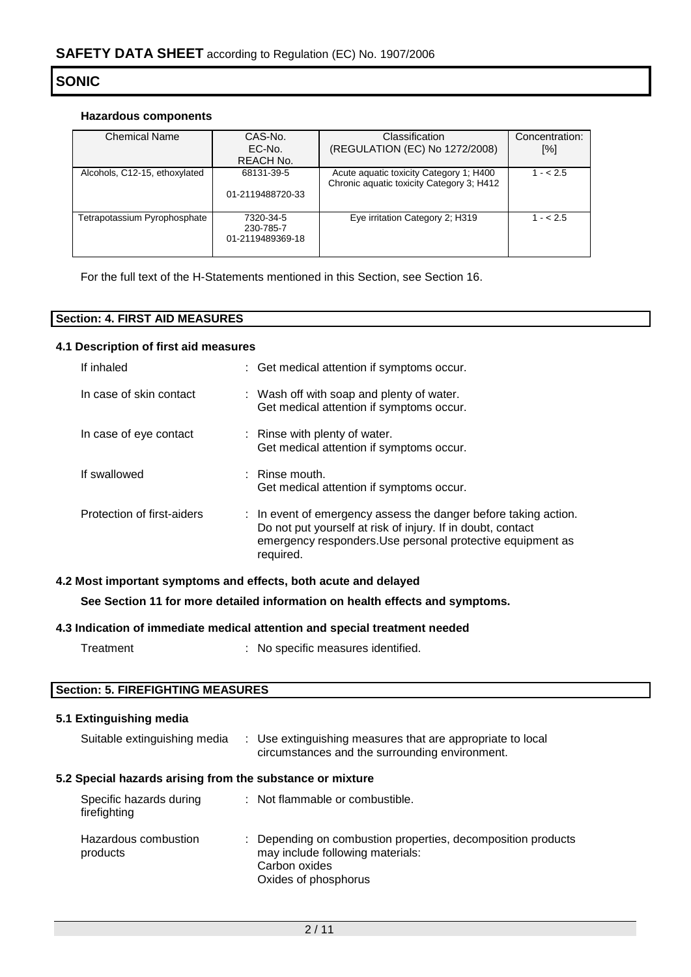### **Hazardous components**

| Chemical Name                 | CAS-No.          | Classification                            | Concentration: |  |
|-------------------------------|------------------|-------------------------------------------|----------------|--|
|                               | EC-No.           | (REGULATION (EC) No 1272/2008)            | [%]            |  |
|                               | REACH No.        |                                           |                |  |
| Alcohols, C12-15, ethoxylated | 68131-39-5       | Acute aquatic toxicity Category 1; H400   | $1 - 2.5$      |  |
|                               | 01-2119488720-33 | Chronic aquatic toxicity Category 3; H412 |                |  |
|                               |                  |                                           |                |  |
| Tetrapotassium Pyrophosphate  | 7320-34-5        | Eye irritation Category 2; H319           | $1 - 2.5$      |  |
|                               | 230-785-7        |                                           |                |  |
|                               | 01-2119489369-18 |                                           |                |  |
|                               |                  |                                           |                |  |

For the full text of the H-Statements mentioned in this Section, see Section 16.

| : 4. FIRST AID MEASURES<br>Section: |  |
|-------------------------------------|--|

### **4.1 Description of first aid measures**

| If inhaled                 | : Get medical attention if symptoms occur.                                                                                                                                                                |
|----------------------------|-----------------------------------------------------------------------------------------------------------------------------------------------------------------------------------------------------------|
| In case of skin contact    | : Wash off with soap and plenty of water.<br>Get medical attention if symptoms occur.                                                                                                                     |
| In case of eye contact     | : Rinse with plenty of water.<br>Get medical attention if symptoms occur.                                                                                                                                 |
| If swallowed               | $\therefore$ Rinse mouth.<br>Get medical attention if symptoms occur.                                                                                                                                     |
| Protection of first-aiders | : In event of emergency assess the danger before taking action.<br>Do not put yourself at risk of injury. If in doubt, contact<br>emergency responders. Use personal protective equipment as<br>required. |

### **4.2 Most important symptoms and effects, both acute and delayed**

**See Section 11 for more detailed information on health effects and symptoms.**

### **4.3 Indication of immediate medical attention and special treatment needed**

Treatment : No specific measures identified.

### **Section: 5. FIREFIGHTING MEASURES**

## **5.1 Extinguishing media**

| Suitable extinguishing media                              | : Use extinguishing measures that are appropriate to local<br>circumstances and the surrounding environment.                              |
|-----------------------------------------------------------|-------------------------------------------------------------------------------------------------------------------------------------------|
| 5.2 Special hazards arising from the substance or mixture |                                                                                                                                           |
| Specific hazards during<br>firefighting                   | : Not flammable or combustible.                                                                                                           |
| Hazardous combustion<br>products                          | : Depending on combustion properties, decomposition products<br>may include following materials:<br>Carbon oxides<br>Oxides of phosphorus |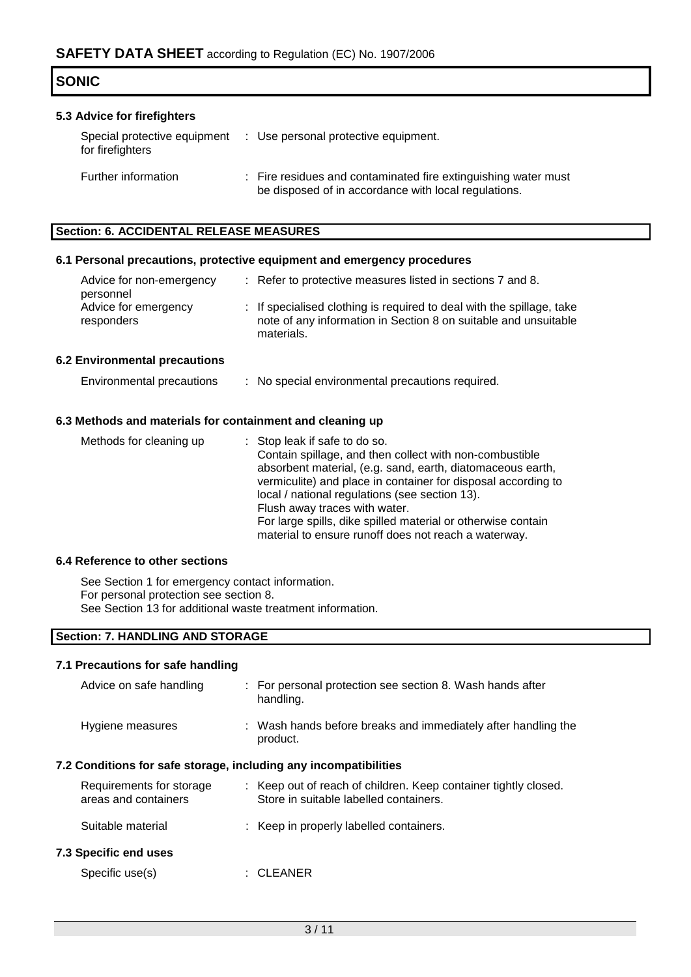### **5.3 Advice for firefighters**

| Special protective equipment<br>for firefighters | : Use personal protective equipment.                                                                                   |
|--------------------------------------------------|------------------------------------------------------------------------------------------------------------------------|
| Further information                              | : Fire residues and contaminated fire extinguishing water must<br>be disposed of in accordance with local regulations. |

### **Section: 6. ACCIDENTAL RELEASE MEASURES**

### **6.1 Personal precautions, protective equipment and emergency procedures**

| Advice for non-emergency<br>personnel | : Refer to protective measures listed in sections 7 and 8.                                                                                             |
|---------------------------------------|--------------------------------------------------------------------------------------------------------------------------------------------------------|
| Advice for emergency<br>responders    | : If specialised clothing is required to deal with the spillage, take<br>note of any information in Section 8 on suitable and unsuitable<br>materials. |
| Inidranmantal nyaanittana             |                                                                                                                                                        |

# **6.2 Environmental precautions**

| Environmental precautions | No special environmental precautions required. |
|---------------------------|------------------------------------------------|
|---------------------------|------------------------------------------------|

### **6.3 Methods and materials for containment and cleaning up**

| Methods for cleaning up | : Stop leak if safe to do so.                                 |
|-------------------------|---------------------------------------------------------------|
|                         | Contain spillage, and then collect with non-combustible       |
|                         | absorbent material, (e.g. sand, earth, diatomaceous earth,    |
|                         | vermiculite) and place in container for disposal according to |
|                         | local / national regulations (see section 13).                |
|                         | Flush away traces with water.                                 |
|                         | For large spills, dike spilled material or otherwise contain  |
|                         | material to ensure runoff does not reach a waterway.          |

### **6.4 Reference to other sections**

See Section 1 for emergency contact information. For personal protection see section 8. See Section 13 for additional waste treatment information.

### **Section: 7. HANDLING AND STORAGE**

#### **7.1 Precautions for safe handling**

| Advice on safe handling                                          |  | : For personal protection see section 8. Wash hands after<br>handling.                                    |  |  |  |  |
|------------------------------------------------------------------|--|-----------------------------------------------------------------------------------------------------------|--|--|--|--|
| Hygiene measures                                                 |  | : Wash hands before breaks and immediately after handling the<br>product.                                 |  |  |  |  |
| 7.2 Conditions for safe storage, including any incompatibilities |  |                                                                                                           |  |  |  |  |
| Requirements for storage<br>areas and containers                 |  | : Keep out of reach of children. Keep container tightly closed.<br>Store in suitable labelled containers. |  |  |  |  |
| Suitable material                                                |  | : Keep in properly labelled containers.                                                                   |  |  |  |  |
| 7.3 Specific end uses                                            |  |                                                                                                           |  |  |  |  |
| Specific use(s)                                                  |  | :CLEANER                                                                                                  |  |  |  |  |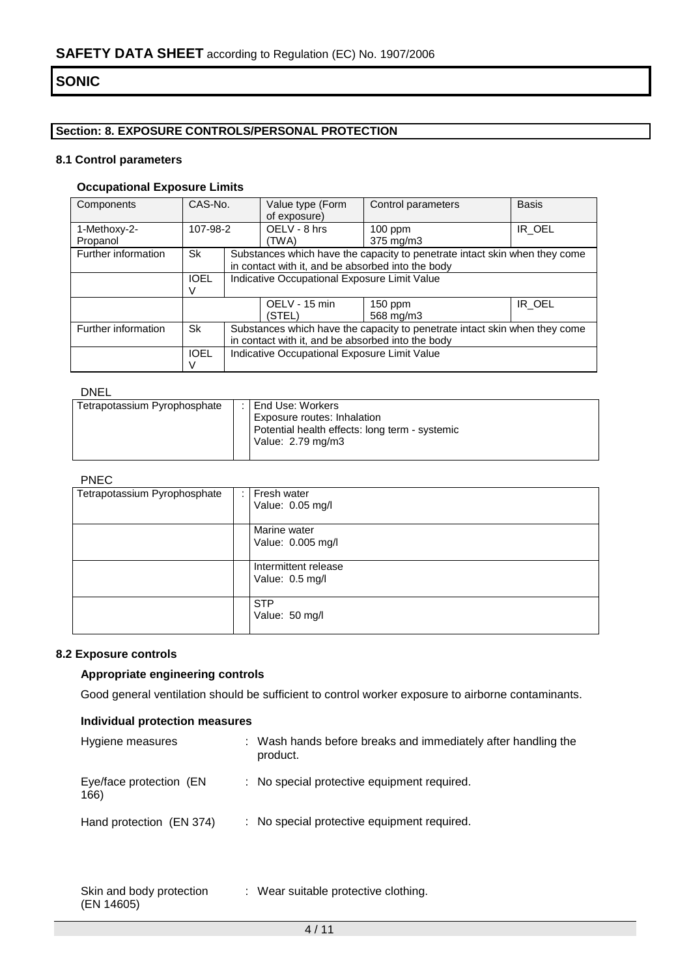## **Section: 8. EXPOSURE CONTROLS/PERSONAL PROTECTION**

### **8.1 Control parameters**

## **Occupational Exposure Limits**

| Components          | CAS-No.     |                                                   | Value type (Form<br>of exposure)                                           | Control parameters                                                         | <b>Basis</b> |  |  |
|---------------------|-------------|---------------------------------------------------|----------------------------------------------------------------------------|----------------------------------------------------------------------------|--------------|--|--|
| 1-Methoxy-2-        | 107-98-2    |                                                   | OELV - 8 hrs                                                               | $100$ ppm                                                                  | IR OEL       |  |  |
| Propanol            |             |                                                   | (TWA)                                                                      | 375 mg/m3                                                                  |              |  |  |
| Further information | Sk          |                                                   |                                                                            | Substances which have the capacity to penetrate intact skin when they come |              |  |  |
|                     |             |                                                   | in contact with it, and be absorbed into the body                          |                                                                            |              |  |  |
|                     | <b>IOEL</b> |                                                   | Indicative Occupational Exposure Limit Value                               |                                                                            |              |  |  |
|                     |             |                                                   |                                                                            |                                                                            |              |  |  |
|                     |             |                                                   | OELV - 15 min                                                              | 150 ppm                                                                    | IR OEL       |  |  |
|                     |             |                                                   | (STEL)                                                                     | 568 mg/m3                                                                  |              |  |  |
| Further information | Sk          |                                                   | Substances which have the capacity to penetrate intact skin when they come |                                                                            |              |  |  |
|                     |             | in contact with it, and be absorbed into the body |                                                                            |                                                                            |              |  |  |
|                     | <b>IOEL</b> |                                                   | Indicative Occupational Exposure Limit Value                               |                                                                            |              |  |  |
|                     | V           |                                                   |                                                                            |                                                                            |              |  |  |

### DNEL

| Tetrapotassium Pyrophosphate | : I End Use: Workers<br>Exposure routes: Inhalation<br>Potential health effects: long term - systemic<br>Value: 2.79 mg/m3 |
|------------------------------|----------------------------------------------------------------------------------------------------------------------------|
|                              |                                                                                                                            |

## PNEC

| ENLY                         |  |                      |
|------------------------------|--|----------------------|
| Tetrapotassium Pyrophosphate |  | Fresh water          |
|                              |  | Value: 0.05 mg/l     |
|                              |  |                      |
|                              |  | Marine water         |
|                              |  | Value: 0.005 mg/l    |
|                              |  |                      |
|                              |  | Intermittent release |
|                              |  | Value: 0.5 mg/l      |
|                              |  |                      |
|                              |  | <b>STP</b>           |
|                              |  | Value: 50 mg/l       |
|                              |  |                      |

### **8.2 Exposure controls**

## **Appropriate engineering controls**

Good general ventilation should be sufficient to control worker exposure to airborne contaminants.

### **Individual protection measures**

| Hygiene measures                | : Wash hands before breaks and immediately after handling the<br>product. |
|---------------------------------|---------------------------------------------------------------------------|
| Eye/face protection (EN<br>166) | : No special protective equipment required.                               |
| Hand protection (EN 374)        | : No special protective equipment required.                               |

| Skin and body protection | : Wear suitable protective clothing. |
|--------------------------|--------------------------------------|
| (EN 14605)               |                                      |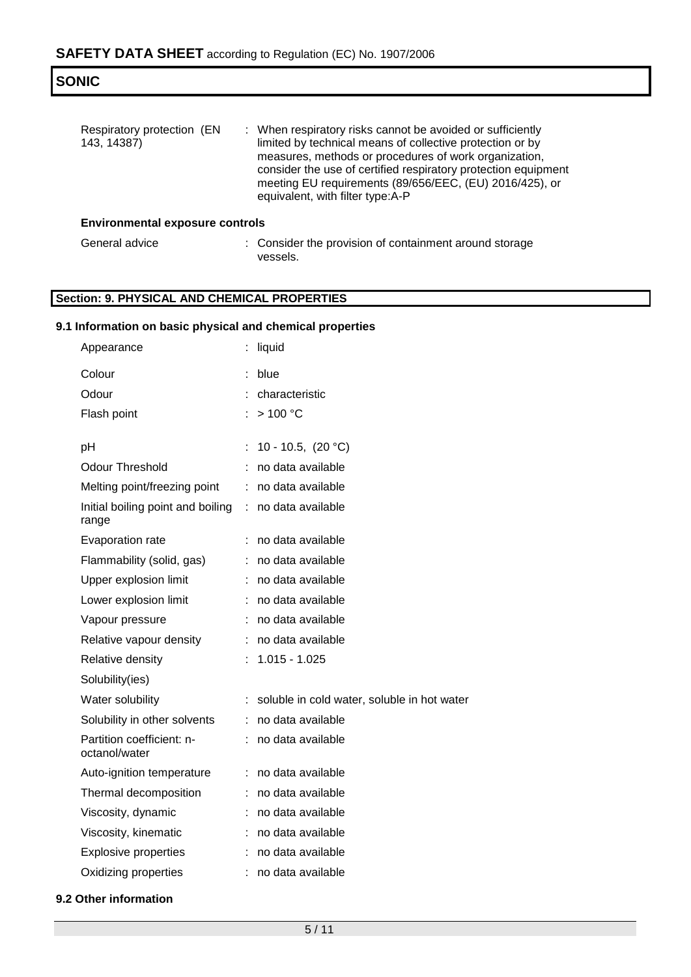| Respiratory protection (EN<br>143, 14387) | : When respiratory risks cannot be avoided or sufficiently<br>limited by technical means of collective protection or by<br>measures, methods or procedures of work organization,<br>consider the use of certified respiratory protection equipment<br>meeting EU requirements (89/656/EEC, (EU) 2016/425), or<br>equivalent, with filter type:A-P |
|-------------------------------------------|---------------------------------------------------------------------------------------------------------------------------------------------------------------------------------------------------------------------------------------------------------------------------------------------------------------------------------------------------|
| <b>Environmental exposure controls</b>    |                                                                                                                                                                                                                                                                                                                                                   |

General advice : Consider the provision of containment around storage vessels.

## **Section: 9. PHYSICAL AND CHEMICAL PROPERTIES**

## **9.1 Information on basic physical and chemical properties**

| Appearance                                 |    | liquid                                      |
|--------------------------------------------|----|---------------------------------------------|
| Colour                                     |    | blue                                        |
| Odour                                      |    | characteristic                              |
| Flash point                                |    | >100 °C                                     |
|                                            |    |                                             |
| рH                                         | ÷. | 10 - 10.5, $(20 °C)$                        |
| <b>Odour Threshold</b>                     |    | no data available                           |
| Melting point/freezing point               | ÷  | no data available                           |
| Initial boiling point and boiling<br>range | ÷. | no data available                           |
| Evaporation rate                           | ÷  | no data available                           |
| Flammability (solid, gas)                  |    | no data available                           |
| Upper explosion limit                      |    | no data available                           |
| Lower explosion limit                      | ÷  | no data available                           |
| Vapour pressure                            |    | no data available                           |
| Relative vapour density                    |    | no data available                           |
| Relative density                           |    | $1.015 - 1.025$                             |
| Solubility(ies)                            |    |                                             |
| Water solubility                           |    | soluble in cold water, soluble in hot water |
| Solubility in other solvents               | t. | no data available                           |
| Partition coefficient: n-<br>octanol/water |    | no data available                           |
| Auto-ignition temperature                  | ÷  | no data available                           |
| Thermal decomposition                      |    | no data available                           |
| Viscosity, dynamic                         |    | no data available                           |
| Viscosity, kinematic                       | ÷  | no data available                           |
| <b>Explosive properties</b>                |    | no data available                           |
| Oxidizing properties                       |    | no data available                           |
|                                            |    |                                             |

**9.2 Other information**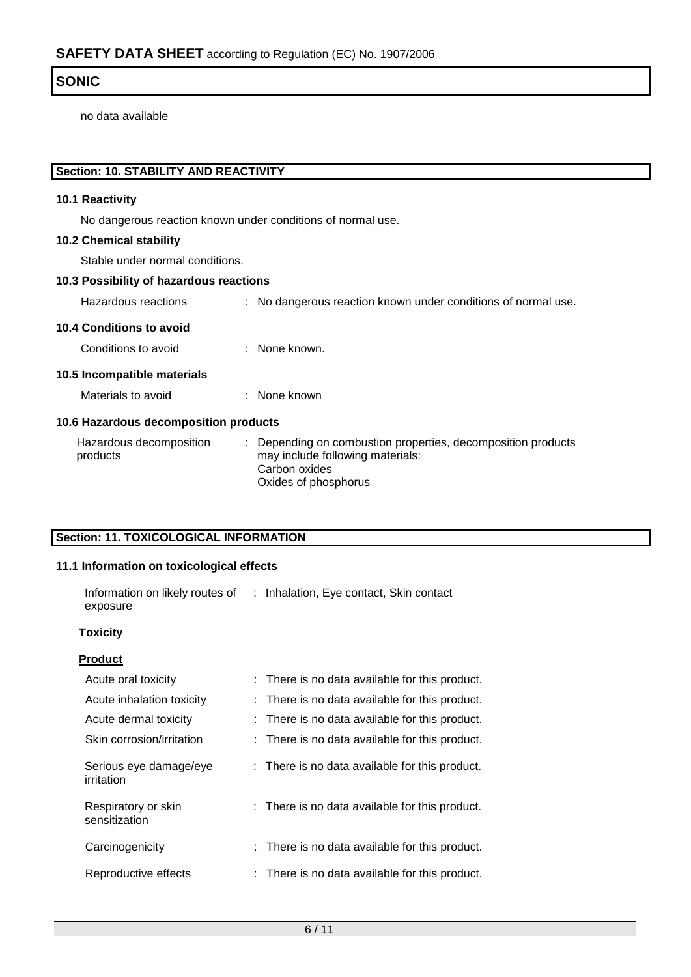no data available

## **Section: 10. STABILITY AND REACTIVITY**

## **10.1 Reactivity**

No dangerous reaction known under conditions of normal use.

## **10.2 Chemical stability**

Stable under normal conditions.

### **10.3 Possibility of hazardous reactions**

Hazardous reactions : No dangerous reaction known under conditions of normal use.

### **10.4 Conditions to avoid**

Conditions to avoid : None known.

### **10.5 Incompatible materials**

Materials to avoid : None known

### **10.6 Hazardous decomposition products**

| Hazardous decomposition | : Depending on combustion properties, decomposition products |
|-------------------------|--------------------------------------------------------------|
| products                | may include following materials:                             |
|                         | Carbon oxides                                                |
|                         | Oxides of phosphorus                                         |

## **Section: 11. TOXICOLOGICAL INFORMATION**

## **11.1 Information on toxicological effects**

| Information on likely routes of<br>exposure | : Inhalation, Eye contact, Skin contact        |
|---------------------------------------------|------------------------------------------------|
| <b>Toxicity</b>                             |                                                |
| <b>Product</b>                              |                                                |
| Acute oral toxicity                         | : There is no data available for this product. |
| Acute inhalation toxicity                   | : There is no data available for this product. |
| Acute dermal toxicity                       | : There is no data available for this product. |
| Skin corrosion/irritation                   | : There is no data available for this product. |
| Serious eye damage/eye<br>irritation        | : There is no data available for this product. |
| Respiratory or skin<br>sensitization        | : There is no data available for this product. |
| Carcinogenicity                             | : There is no data available for this product. |
| Reproductive effects                        | : There is no data available for this product. |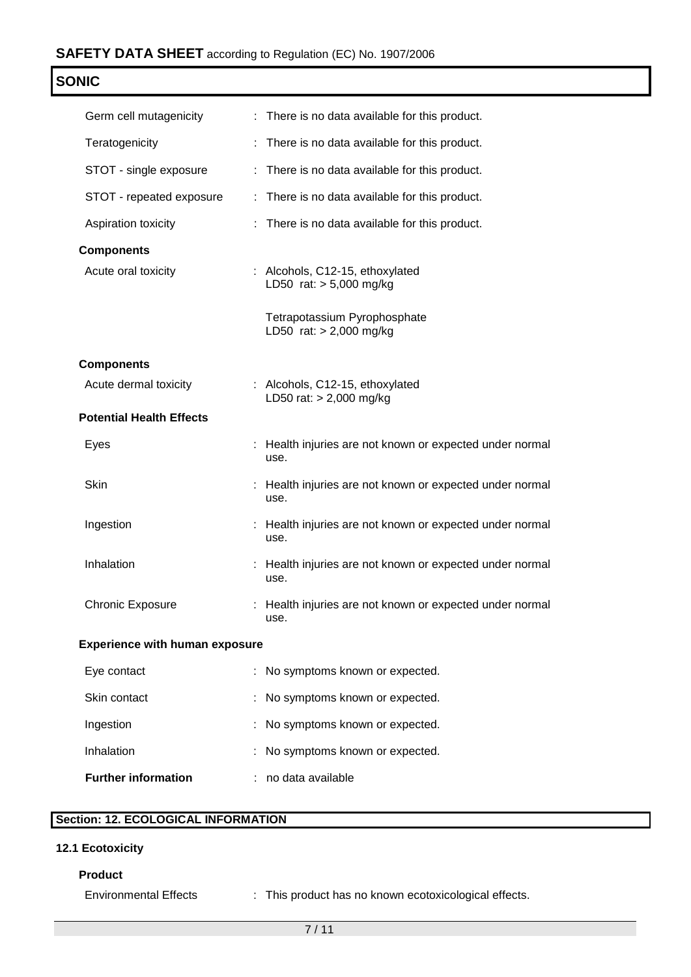| Nŀ<br>л |  |
|---------|--|
|---------|--|

| Germ cell mutagenicity                | : There is no data available for this product.                   |
|---------------------------------------|------------------------------------------------------------------|
| Teratogenicity                        | : There is no data available for this product.                   |
| STOT - single exposure                | : There is no data available for this product.                   |
| STOT - repeated exposure              | : There is no data available for this product.                   |
| Aspiration toxicity                   | : There is no data available for this product.                   |
| <b>Components</b>                     |                                                                  |
| Acute oral toxicity                   | : Alcohols, C12-15, ethoxylated<br>LD50 rat: $> 5,000$ mg/kg     |
|                                       | Tetrapotassium Pyrophosphate<br>LD50 rat: $> 2,000$ mg/kg        |
| <b>Components</b>                     |                                                                  |
| Acute dermal toxicity                 | : Alcohols, C12-15, ethoxylated<br>LD50 rat: $> 2,000$ mg/kg     |
| <b>Potential Health Effects</b>       |                                                                  |
| Eyes                                  | : Health injuries are not known or expected under normal<br>use. |
| Skin                                  | : Health injuries are not known or expected under normal<br>use. |
| Ingestion                             | : Health injuries are not known or expected under normal<br>use. |
| Inhalation                            | : Health injuries are not known or expected under normal<br>use. |
| <b>Chronic Exposure</b>               | : Health injuries are not known or expected under normal<br>use. |
| <b>Experience with human exposure</b> |                                                                  |
| Eye contact                           | No symptoms known or expected.                                   |
| Skin contact                          | No symptoms known or expected.                                   |
| Ingestion                             | No symptoms known or expected.                                   |

| Inhalation                 | : No symptoms known or expected. |
|----------------------------|----------------------------------|
| <b>Further information</b> | : no data available              |

## **Section: 12. ECOLOGICAL INFORMATION**

## **12.1 Ecotoxicity**

## **Product**

Environmental Effects : This product has no known ecotoxicological effects.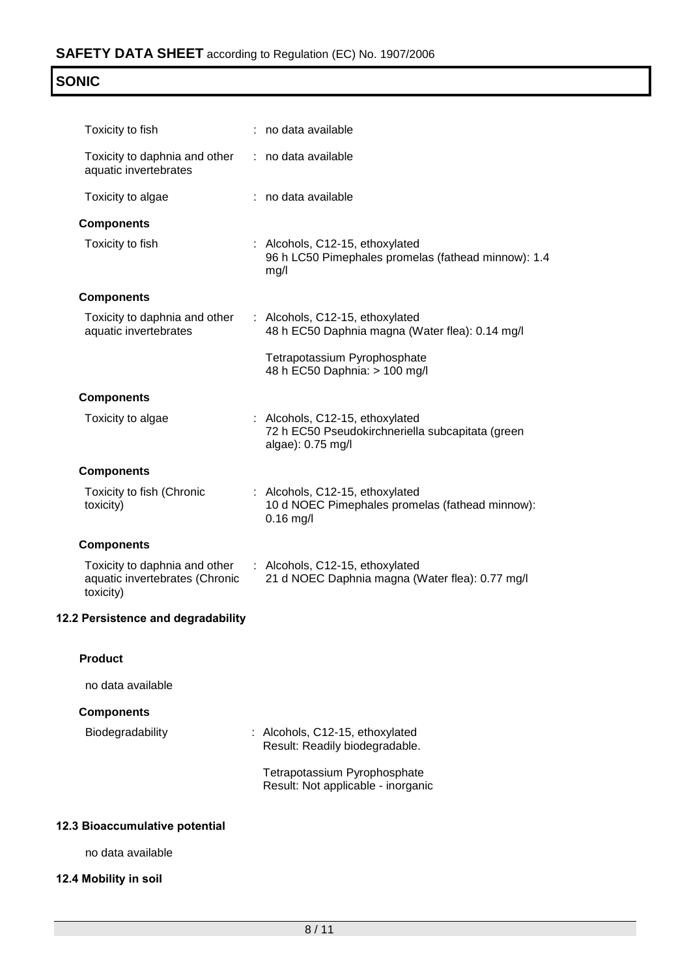| NI<br>۰ |
|---------|
|---------|

| Toxicity to fish                                                             | : no data available                                                                                      |
|------------------------------------------------------------------------------|----------------------------------------------------------------------------------------------------------|
| Toxicity to daphnia and other<br>aquatic invertebrates                       | : no data available                                                                                      |
| Toxicity to algae                                                            | : no data available                                                                                      |
| <b>Components</b>                                                            |                                                                                                          |
| Toxicity to fish                                                             | : Alcohols, C12-15, ethoxylated<br>96 h LC50 Pimephales promelas (fathead minnow): 1.4<br>mg/l           |
| <b>Components</b>                                                            |                                                                                                          |
| Toxicity to daphnia and other<br>aquatic invertebrates                       | : Alcohols, C12-15, ethoxylated<br>48 h EC50 Daphnia magna (Water flea): 0.14 mg/l                       |
|                                                                              | Tetrapotassium Pyrophosphate<br>48 h EC50 Daphnia: > 100 mg/l                                            |
| <b>Components</b>                                                            |                                                                                                          |
| Toxicity to algae                                                            | : Alcohols, C12-15, ethoxylated<br>72 h EC50 Pseudokirchneriella subcapitata (green<br>algae): 0.75 mg/l |
| <b>Components</b>                                                            |                                                                                                          |
| Toxicity to fish (Chronic<br>toxicity)                                       | : Alcohols, C12-15, ethoxylated<br>10 d NOEC Pimephales promelas (fathead minnow):<br>$0.16$ mg/l        |
| <b>Components</b>                                                            |                                                                                                          |
| Toxicity to daphnia and other<br>aquatic invertebrates (Chronic<br>toxicity) | : Alcohols, C12-15, ethoxylated<br>21 d NOEC Daphnia magna (Water flea): 0.77 mg/l                       |
| 12.2 Persistence and degradability                                           |                                                                                                          |
| <b>Product</b>                                                               |                                                                                                          |
| no data available                                                            |                                                                                                          |
| <b>Components</b>                                                            |                                                                                                          |
| Biodegradability                                                             | : Alcohols, C12-15, ethoxylated                                                                          |
|                                                                              | Result: Readily biodegradable.                                                                           |
|                                                                              | Tetrapotassium Pyrophosphate<br>Result: Not applicable - inorganic                                       |
| 12.3 Bioaccumulative potential                                               |                                                                                                          |

# **12.3 Bioaccumulative p**

no data available

# **12.4 Mobility in soil**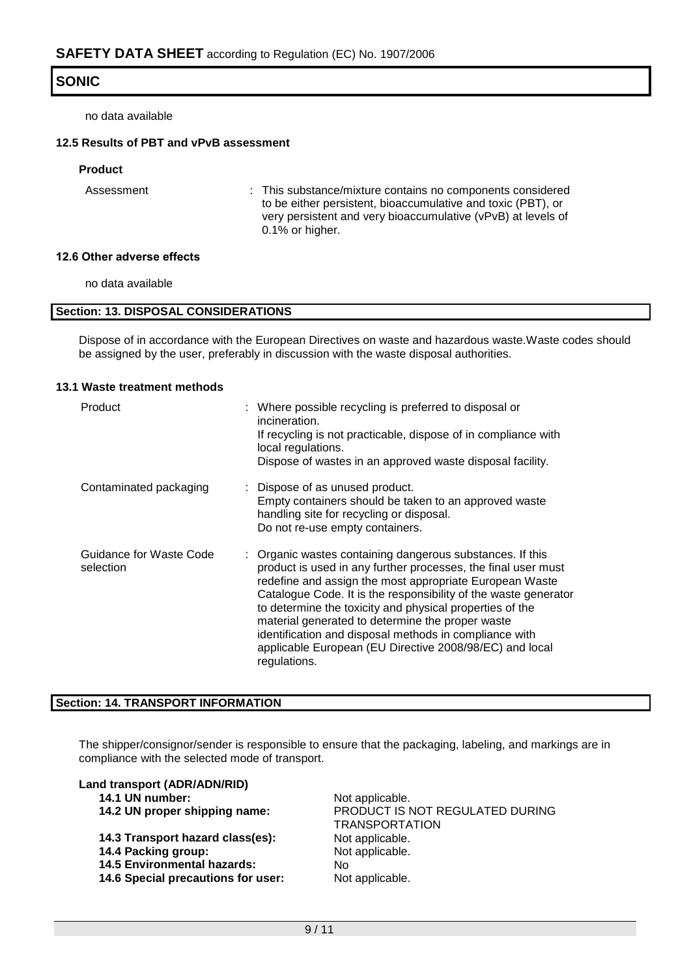no data available

### **12.5 Results of PBT and vPvB assessment**

### **Product**

Assessment : This substance/mixture contains no components considered to be either persistent, bioaccumulative and toxic (PBT), or very persistent and very bioaccumulative (vPvB) at levels of 0.1% or higher.

#### **12.6 Other adverse effects**

no data available

#### **Section: 13. DISPOSAL CONSIDERATIONS**

Dispose of in accordance with the European Directives on waste and hazardous waste.Waste codes should be assigned by the user, preferably in discussion with the waste disposal authorities.

#### **13.1 Waste treatment methods**

| Product                              | : Where possible recycling is preferred to disposal or<br>incineration.<br>If recycling is not practicable, dispose of in compliance with<br>local regulations.<br>Dispose of wastes in an approved waste disposal facility.                                                                                                                                                                                                                                                                                  |
|--------------------------------------|---------------------------------------------------------------------------------------------------------------------------------------------------------------------------------------------------------------------------------------------------------------------------------------------------------------------------------------------------------------------------------------------------------------------------------------------------------------------------------------------------------------|
| Contaminated packaging               | : Dispose of as unused product.<br>Empty containers should be taken to an approved waste<br>handling site for recycling or disposal.<br>Do not re-use empty containers.                                                                                                                                                                                                                                                                                                                                       |
| Guidance for Waste Code<br>selection | : Organic wastes containing dangerous substances. If this<br>product is used in any further processes, the final user must<br>redefine and assign the most appropriate European Waste<br>Catalogue Code. It is the responsibility of the waste generator<br>to determine the toxicity and physical properties of the<br>material generated to determine the proper waste<br>identification and disposal methods in compliance with<br>applicable European (EU Directive 2008/98/EC) and local<br>regulations. |

### **Section: 14. TRANSPORT INFORMATION**

The shipper/consignor/sender is responsible to ensure that the packaging, labeling, and markings are in compliance with the selected mode of transport.

#### **Land transport (ADR/ADN/RID)**

|  |  | 14.1 UN number: |  |
|--|--|-----------------|--|
|--|--|-----------------|--|

- 
- 14.3 Transport hazard class(es): Not applicable. **14.4 Packing group:** Not applicable. **14.5 Environmental hazards:** No **14.6 Special precautions for user:** Not applicable.
- Not applicable. **14.2 UN proper shipping name:** PRODUCT IS NOT REGULATED DURING TRANSPORTATION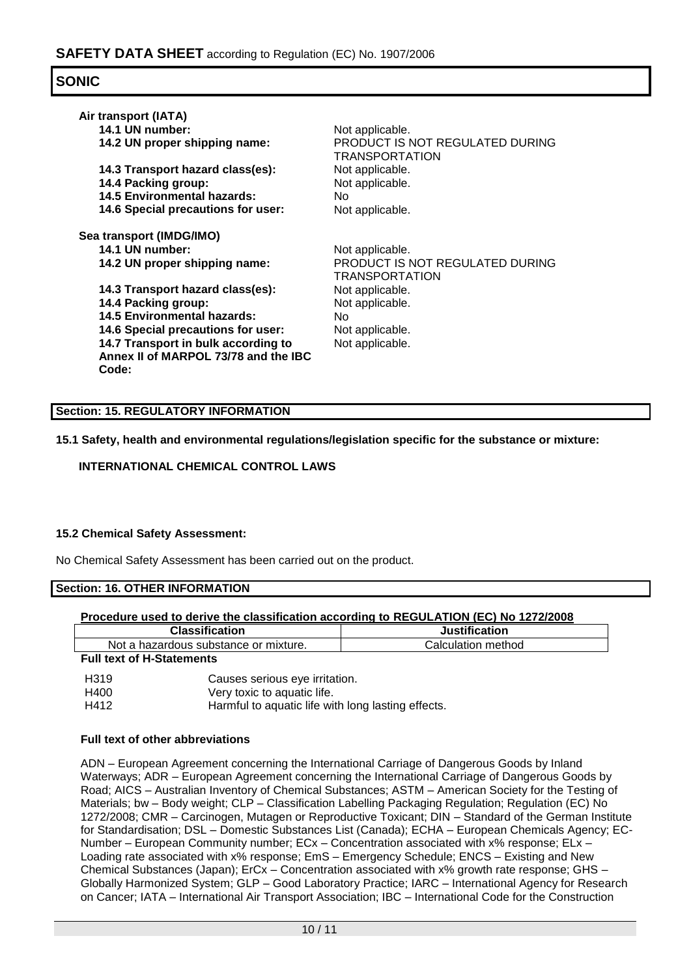| Air transport (IATA)<br>14.1 UN number:<br>14.2 UN proper shipping name:             | Not applicable.<br>PRODUCT IS NOT REGULATED DURING<br><b>TRANSPORTATION</b> |
|--------------------------------------------------------------------------------------|-----------------------------------------------------------------------------|
| 14.3 Transport hazard class(es):                                                     | Not applicable.                                                             |
| 14.4 Packing group:                                                                  | Not applicable.                                                             |
| 14.5 Environmental hazards:                                                          | No.                                                                         |
| <b>14.6 Special precautions for user:</b>                                            | Not applicable.                                                             |
| Sea transport (IMDG/IMO)<br>14.1 UN number:<br>14.2 UN proper shipping name:         | Not applicable.<br>PRODUCT IS NOT REGULATED DURING<br><b>TRANSPORTATION</b> |
| 14.3 Transport hazard class(es):                                                     | Not applicable.                                                             |
| 14.4 Packing group:                                                                  | Not applicable.                                                             |
| <b>14.5 Environmental hazards:</b>                                                   | No.                                                                         |
| 14.6 Special precautions for user:                                                   | Not applicable.                                                             |
| 14.7 Transport in bulk according to<br>Annex II of MARPOL 73/78 and the IBC<br>Code: | Not applicable.                                                             |
|                                                                                      |                                                                             |

## **Section: 15. REGULATORY INFORMATION**

**15.1 Safety, health and environmental regulations/legislation specific for the substance or mixture:**

## **INTERNATIONAL CHEMICAL CONTROL LAWS**

### **15.2 Chemical Safety Assessment:**

No Chemical Safety Assessment has been carried out on the product.

**Section: 16. OTHER INFORMATION**

### **Procedure used to derive the classification according to REGULATION (EC) No 1272/2008**

| <b>Classification</b>                 | <b>Justification</b> |
|---------------------------------------|----------------------|
| Not a hazardous substance or mixture. | Calculation method   |
| _____                                 |                      |

#### **Full text of H-Statements**

| H <sub>3</sub> 19 | Causes serious eye irritation.                     |
|-------------------|----------------------------------------------------|
| H400              | Very toxic to aquatic life.                        |
| H412              | Harmful to aquatic life with long lasting effects. |

### **Full text of other abbreviations**

ADN – European Agreement concerning the International Carriage of Dangerous Goods by Inland Waterways; ADR – European Agreement concerning the International Carriage of Dangerous Goods by Road; AICS – Australian Inventory of Chemical Substances; ASTM – American Society for the Testing of Materials; bw - Body weight; CLP - Classification Labelling Packaging Regulation; Regulation (EC) No 1272/2008; CMR – Carcinogen, Mutagen or Reproductive Toxicant; DIN – Standard of the German Institute for Standardisation; DSL – Domestic Substances List (Canada); ECHA – European Chemicals Agency; EC-Number – European Community number; ECx – Concentration associated with x% response; ELx – Loading rate associated with x% response; EmS – Emergency Schedule; ENCS – Existing and New Chemical Substances (Japan); ErCx – Concentration associated with x% growth rate response; GHS – Globally Harmonized System; GLP – Good Laboratory Practice; IARC – International Agency for Research on Cancer; IATA – International Air Transport Association; IBC – International Code for the Construction